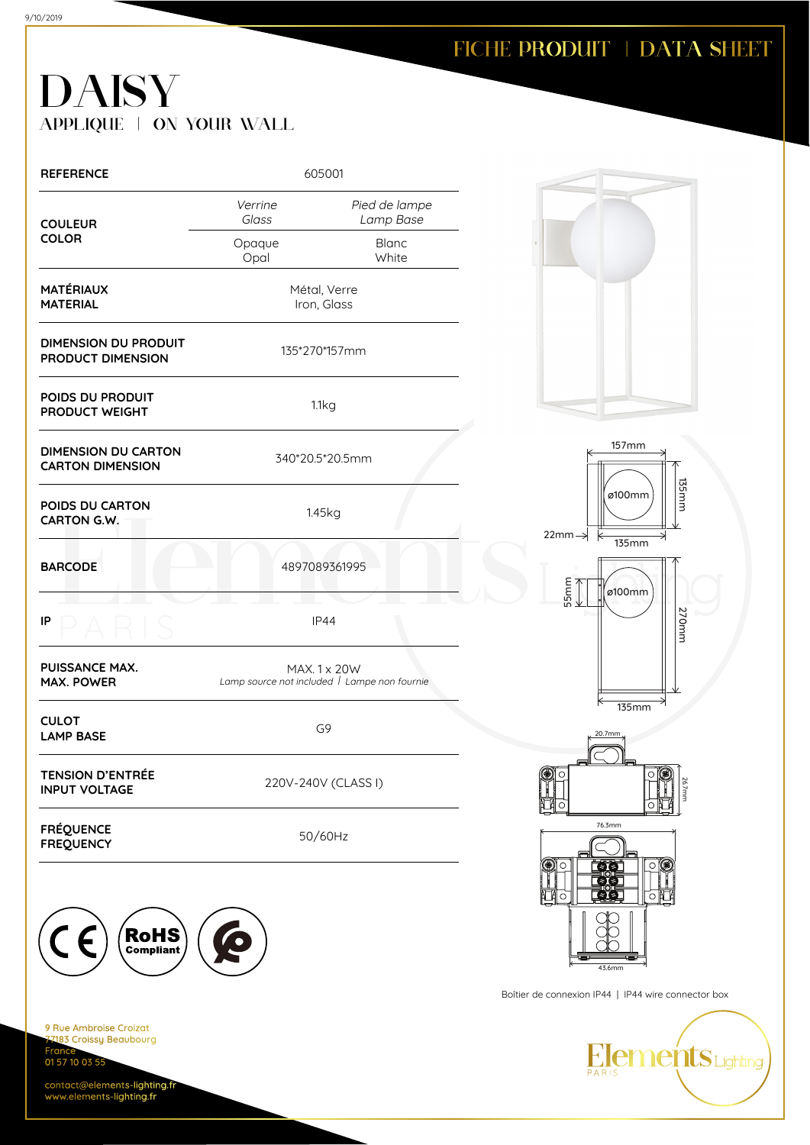### FICHE PRODUIT | DATA SHEET

## DAISY APPLIQUE | ON YOUR WALL

| <b>REFERENCE</b>                                      | 605001                                                       |                            |  |
|-------------------------------------------------------|--------------------------------------------------------------|----------------------------|--|
| <b>COULEUR</b>                                        | Verrine<br>Glass                                             | Pied de lampe<br>Lamp Base |  |
| <b>COLOR</b>                                          | Opaque<br>Opal                                               | <b>Blanc</b><br>White      |  |
| <b>MATÉRIAUX</b><br><b>MATERIAL</b>                   | Métal, Verre<br>Iron, Glass                                  |                            |  |
| <b>DIMENSION DU PRODUIT</b><br>PRODUCT DIMENSION      | 135*270*157mm                                                |                            |  |
| POIDS DU PRODUIT<br><b>PRODUCT WEIGHT</b>             | 1.1kg                                                        |                            |  |
| <b>DIMENSION DU CARTON</b><br><b>CARTON DIMENSION</b> | 340*20.5*20.5mm                                              |                            |  |
| POIDS DU CARTON<br>CARTON G.W.                        | 1.45kg                                                       |                            |  |
| <b>BARCODE</b>                                        | 4897089361995                                                |                            |  |
| IP                                                    | <b>IP44</b>                                                  |                            |  |
| <b>PUISSANCE MAX.</b><br><b>MAX. POWER</b>            | MAX. 1 x 20W<br>Lamp source not included   Lampe non fournie |                            |  |
| <b>CULOT</b><br><b>LAMP BASE</b>                      | G9                                                           |                            |  |
| <b>TENSION D'ENTRÉE</b><br><b>INPUT VOLTAGE</b>       | 220V-240V (CLASS I)                                          |                            |  |
| <b>FRÉQUENCE</b><br><b>FREQUENCY</b>                  | 50/60Hz                                                      |                            |  |
|                                                       |                                                              |                            |  |



9 Rue Ambroise Croizat 183 Croissy Beaubourg Fra 01 57 10 03 55

contact@elements-lighting.fr www.elements-lighting.fr







Boîtier de connexion IP44 | IP44 wire connector box

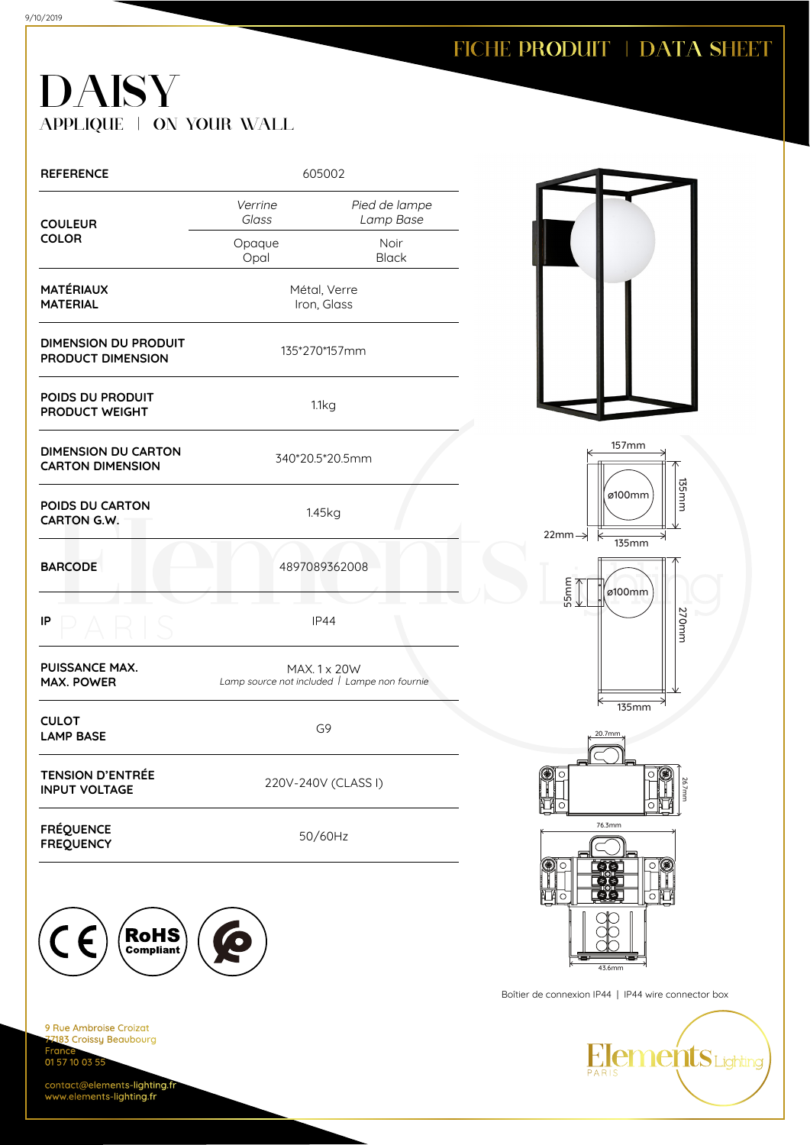# DAISY APPLIQUE | ON YOUR WALL

| <b>REFERENCE</b>                                        | 605002                                                       |                            |  |
|---------------------------------------------------------|--------------------------------------------------------------|----------------------------|--|
| <b>COULEUR</b>                                          | Verrine<br>Glass                                             | Pied de lampe<br>Lamp Base |  |
| <b>COLOR</b>                                            | Opaque<br>Opal                                               | Noir<br><b>Black</b>       |  |
| <b>MATÉRIAUX</b><br><b>MATERIAL</b>                     | Métal, Verre<br>Iron, Glass                                  |                            |  |
| <b>DIMENSION DU PRODUIT</b><br><b>PRODUCT DIMENSION</b> | 135*270*157mm                                                |                            |  |
| POIDS DU PRODUIT<br>PRODUCT WEIGHT                      | 1.1kg                                                        |                            |  |
| <b>DIMENSION DU CARTON</b><br><b>CARTON DIMENSION</b>   | 340*20.5*20.5mm                                              |                            |  |
| POIDS DU CARTON<br><b>CARTON G.W.</b>                   | 1.45kg                                                       |                            |  |
| <b>BARCODE</b>                                          | 4897089362008                                                |                            |  |
| IP                                                      | <b>IP44</b>                                                  |                            |  |
| PUISSANCE MAX.<br><b>MAX. POWER</b>                     | MAX. 1 x 20W<br>Lamp source not included   Lampe non fournie |                            |  |
| <b>CULOT</b><br><b>LAMP BASE</b>                        | G <sub>9</sub>                                               |                            |  |
| TENSION D'ENTRÉE<br><b>INPUT VOLTAGE</b>                | 220V-240V (CLASS I)                                          |                            |  |
| <b>FRÉQUENCE</b><br><b>FREQUENCY</b>                    | 50/60Hz                                                      |                            |  |



9 Rue Ambroise Croizat 183 Croissy Beaubourg Fra 01 57 10 03 55

contact@elements-lighting.fr www.elements-lighting.fr







Boîtier de connexion IP44 | IP44 wire connector box